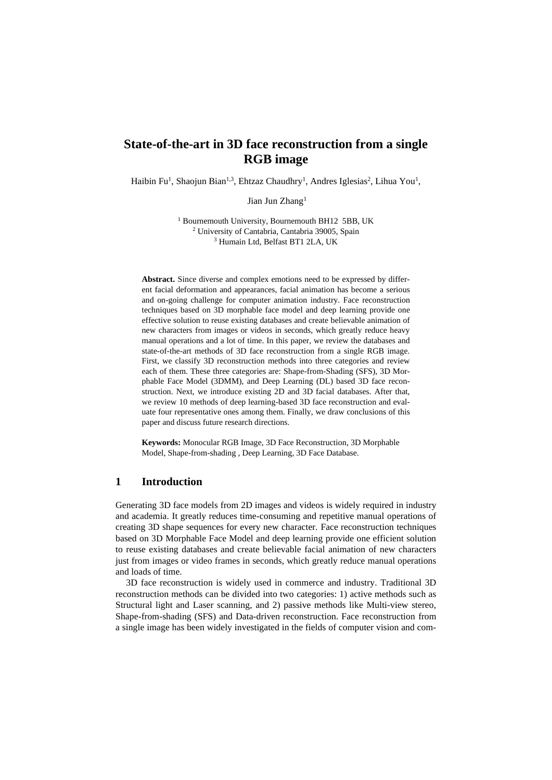# **State-of-the-art in 3D face reconstruction from a single RGB image**

Haibin Fu<sup>1</sup>, Shaojun Bian<sup>1,3</sup>, Ehtzaz Chaudhry<sup>1</sup>, Andres Iglesias<sup>2</sup>, Lihua You<sup>1</sup>,

Jian Jun Zhang<sup>1</sup>

<sup>1</sup> Bournemouth University, Bournemouth BH12 5BB, UK <sup>2</sup> University of Cantabria, Cantabria 39005, Spain <sup>3</sup> Humain Ltd, Belfast BT1 2LA, UK

**Abstract.** Since diverse and complex emotions need to be expressed by different facial deformation and appearances, facial animation has become a serious and on-going challenge for computer animation industry. Face reconstruction techniques based on 3D morphable face model and deep learning provide one effective solution to reuse existing databases and create believable animation of new characters from images or videos in seconds, which greatly reduce heavy manual operations and a lot of time. In this paper, we review the databases and state-of-the-art methods of 3D face reconstruction from a single RGB image. First, we classify 3D reconstruction methods into three categories and review each of them. These three categories are: Shape-from-Shading (SFS), 3D Morphable Face Model (3DMM), and Deep Learning (DL) based 3D face reconstruction. Next, we introduce existing 2D and 3D facial databases. After that, we review 10 methods of deep learning-based 3D face reconstruction and evaluate four representative ones among them. Finally, we draw conclusions of this paper and discuss future research directions.

**Keywords:** Monocular RGB Image, 3D Face Reconstruction, 3D Morphable Model, Shape-from-shading , Deep Learning, 3D Face Database.

## **1 Introduction**

Generating 3D face models from 2D images and videos is widely required in industry and academia. It greatly reduces time-consuming and repetitive manual operations of creating 3D shape sequences for every new character. Face reconstruction techniques based on 3D Morphable Face Model and deep learning provide one efficient solution to reuse existing databases and create believable facial animation of new characters just from images or video frames in seconds, which greatly reduce manual operations and loads of time.

3D face reconstruction is widely used in commerce and industry. Traditional 3D reconstruction methods can be divided into two categories: 1) active methods such as Structural light and Laser scanning, and 2) passive methods like Multi-view stereo, Shape-from-shading (SFS) and Data-driven reconstruction. Face reconstruction from a single image has been widely investigated in the fields of computer vision and com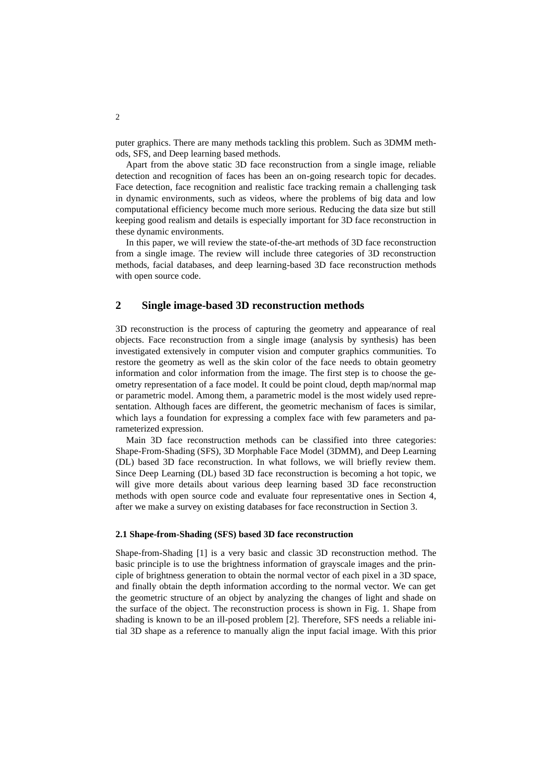puter graphics. There are many methods tackling this problem. Such as 3DMM methods, SFS, and Deep learning based methods.

Apart from the above static 3D face reconstruction from a single image, reliable detection and recognition of faces has been an on-going research topic for decades. Face detection, face recognition and realistic face tracking remain a challenging task in dynamic environments, such as videos, where the problems of big data and low computational efficiency become much more serious. Reducing the data size but still keeping good realism and details is especially important for 3D face reconstruction in these dynamic environments.

In this paper, we will review the state-of-the-art methods of 3D face reconstruction from a single image. The review will include three categories of 3D reconstruction methods, facial databases, and deep learning-based 3D face reconstruction methods with open source code.

## **2 Single image-based 3D reconstruction methods**

3D reconstruction is the process of capturing the geometry and appearance of real objects. Face reconstruction from a single image (analysis by synthesis) has been investigated extensively in computer vision and computer graphics communities. To restore the geometry as well as the skin color of the face needs to obtain geometry information and color information from the image. The first step is to choose the geometry representation of a face model. It could be point cloud, depth map/normal map or parametric model. Among them, a parametric model is the most widely used representation. Although faces are different, the geometric mechanism of faces is similar, which lays a foundation for expressing a complex face with few parameters and parameterized expression.

Main 3D face reconstruction methods can be classified into three categories: Shape-From-Shading (SFS), 3D Morphable Face Model (3DMM), and Deep Learning (DL) based 3D face reconstruction. In what follows, we will briefly review them. Since Deep Learning (DL) based 3D face reconstruction is becoming a hot topic, we will give more details about various deep learning based 3D face reconstruction methods with open source code and evaluate four representative ones in Section 4, after we make a survey on existing databases for face reconstruction in Section 3.

### **2.1 Shape-from-Shading (SFS) based 3D face reconstruction**

Shape-from-Shading [\[1\]](#page-11-0) is a very basic and classic 3D reconstruction method. The basic principle is to use the brightness information of grayscale images and the principle of brightness generation to obtain the normal vector of each pixel in a 3D space, and finally obtain the depth information according to the normal vector. We can get the geometric structure of an object by analyzing the changes of light and shade on the surface of the object. The reconstruction process is shown in Fig. 1. Shape from shading is known to be an ill-posed problem [\[2\]](#page-11-1). Therefore, SFS needs a reliable initial 3D shape as a reference to manually align the input facial image. With this prior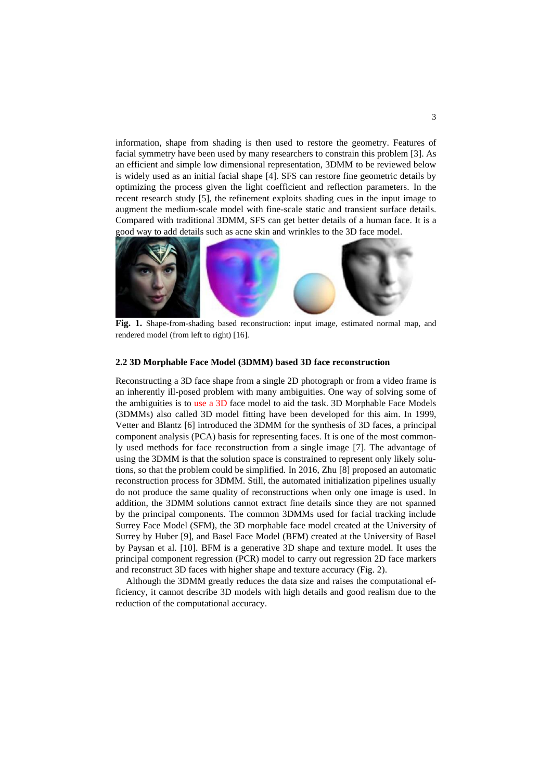information, shape from shading is then used to restore the geometry. Features of facial symmetry have been used by many researchers to constrain this problem [\[3\]](#page-11-2). As an efficient and simple low dimensional representation, 3DMM to be reviewed below is widely used as an initial facial shape [\[4\]](#page-11-3). SFS can restore fine geometric details by optimizing the process given the light coefficient and reflection parameters. In the recent research study [\[5\]](#page-11-4), the refinement exploits shading cues in the input image to augment the medium-scale model with fine-scale static and transient surface details. Compared with traditional 3DMM, SFS can get better details of a human face. It is a good way to add details such as acne skin and wrinkles to the 3D face model.



**Fig. 1.** Shape-from-shading based reconstruction: input image, estimated normal map, and rendered model (from left to right) [\[16\]](#page-12-0).

#### **2.2 3D Morphable Face Model (3DMM) based 3D face reconstruction**

Reconstructing a 3D face shape from a single 2D photograph or from a video frame is an inherently ill-posed problem with many ambiguities. One way of solving some of the ambiguities is to use a 3D face model to aid the task. 3D Morphable Face Models (3DMMs) also called 3D model fitting have been developed for this aim. In 1999, Vetter and Blantz [\[6\]](#page-11-5) introduced the 3DMM for the synthesis of 3D faces, a principal component analysis (PCA) basis for representing faces. It is one of the most commonly used methods for face reconstruction from a single image [\[7\]](#page-11-6). The advantage of using the 3DMM is that the solution space is constrained to represent only likely solutions, so that the problem could be simplified. In 2016, Zhu [\[8\]](#page-11-7) proposed an automatic reconstruction process for 3DMM. Still, the automated initialization pipelines usually do not produce the same quality of reconstructions when only one image is used. In addition, the 3DMM solutions cannot extract fine details since they are not spanned by the principal components. The common 3DMMs used for facial tracking include Surrey Face Model (SFM), the 3D morphable face model created at the University of Surrey by Huber [\[9\]](#page-11-8), and Basel Face Model (BFM) created at the University of Basel by Paysan et al. [\[10\]](#page-11-9). BFM is a generative 3D shape and texture model. It uses the principal component regression (PCR) model to carry out regression 2D face markers and reconstruct 3D faces with higher shape and texture accuracy (Fig. 2).

Although the 3DMM greatly reduces the data size and raises the computational efficiency, it cannot describe 3D models with high details and good realism due to the reduction of the computational accuracy.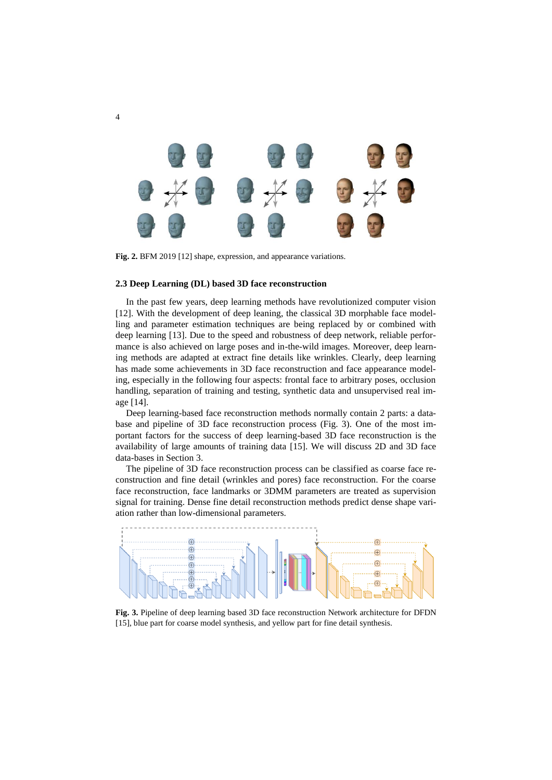

**Fig. 2.** BFM 2019 [\[12\]](#page-11-10) shape, expression, and appearance variations.

#### **2.3 Deep Learning (DL) based 3D face reconstruction**

In the past few years, deep learning methods have revolutionized computer vision [12]. With the development of deep leaning, the classical 3D morphable face modelling and parameter estimation techniques are being replaced by or combined with deep learning [\[13\]](#page-11-11). Due to the speed and robustness of deep network, reliable performance is also achieved on large poses and in-the-wild images. Moreover, deep learning methods are adapted at extract fine details like wrinkles. Clearly, deep learning has made some achievements in 3D face reconstruction and face appearance modeling, especially in the following four aspects: frontal face to arbitrary poses, occlusion handling, separation of training and testing, synthetic data and unsupervised real image [\[14\]](#page-12-1).

Deep learning-based face reconstruction methods normally contain 2 parts: a database and pipeline of 3D face reconstruction process (Fig. 3). One of the most important factors for the success of deep learning-based 3D face reconstruction is the availability of large amounts of training data [15]. We will discuss 2D and 3D face data-bases in Section 3.

The pipeline of 3D face reconstruction process can be classified as coarse face reconstruction and fine detail (wrinkles and pores) face reconstruction. For the coarse face reconstruction, face landmarks or 3DMM parameters are treated as supervision signal for training. Dense fine detail reconstruction methods predict dense shape variation rather than low-dimensional parameters.



**Fig. 3.** Pipeline of deep learning based 3D face reconstruction Network architecture for DFDN [15], blue part for coarse model synthesis, and yellow part for fine detail synthesis.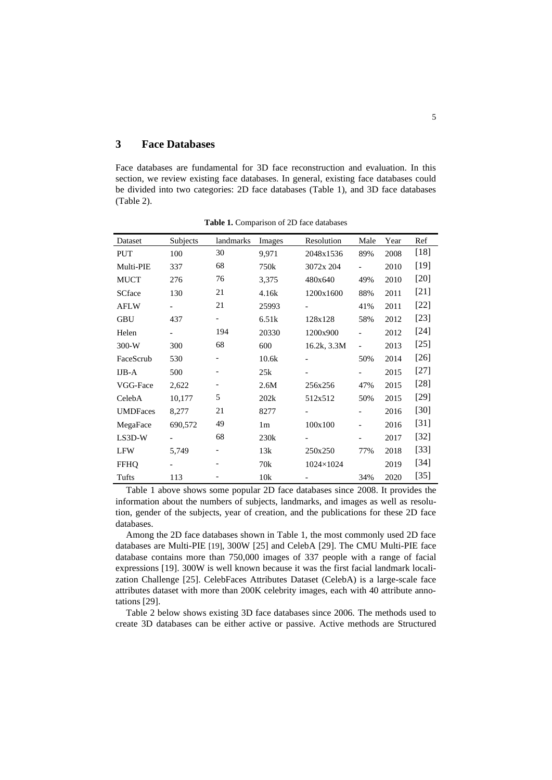## **3 Face Databases**

Face databases are fundamental for 3D face reconstruction and evaluation. In this section, we review existing face databases. In general, existing face databases could be divided into two categories: 2D face databases (Table 1), and 3D face databases (Table 2).

| Dataset         | Subjects                 | landmarks | Images         | Resolution               | Male                     | Year | Ref    |
|-----------------|--------------------------|-----------|----------------|--------------------------|--------------------------|------|--------|
| <b>PUT</b>      | 100                      | 30        | 9,971          | 2048x1536                | 89%                      | 2008 | $[18]$ |
| Multi-PIE       | 337                      | 68        | 750k           | 3072x 204                |                          | 2010 | $[19]$ |
| <b>MUCT</b>     | 276                      | 76        | 3,375          | 480x640                  | 49%                      | 2010 | $[20]$ |
| <b>SCface</b>   | 130                      | 21        | 4.16k          | 1200x1600                | 88%                      | 2011 | $[21]$ |
| <b>AFLW</b>     | $\overline{\phantom{0}}$ | 21        | 25993          | $\overline{\phantom{a}}$ | 41%                      | 2011 | $[22]$ |
| <b>GBU</b>      | 437                      | -         | 6.51k          | 128x128                  | 58%                      | 2012 | $[23]$ |
| Helen           | $\overline{\phantom{0}}$ | 194       | 20330          | 1200x900                 |                          | 2012 | $[24]$ |
| $300-W$         | 300                      | 68        | 600            | 16.2k, 3.3M              | $\overline{\phantom{a}}$ | 2013 | $[25]$ |
| FaceScrub       | 530                      |           | 10.6k          | $\overline{\phantom{a}}$ | 50%                      | 2014 | $[26]$ |
| $IJB-A$         | 500                      |           | 25k            | $\overline{\phantom{a}}$ |                          | 2015 | $[27]$ |
| VGG-Face        | 2,622                    |           | 2.6M           | 256x256                  | 47%                      | 2015 | $[28]$ |
| CelebA          | 10,177                   | 5         | 202k           | 512x512                  | 50%                      | 2015 | $[29]$ |
| <b>UMDFaces</b> | 8,277                    | 21        | 8277           | $\overline{\phantom{a}}$ |                          | 2016 | $[30]$ |
| MegaFace        | 690,572                  | 49        | 1 <sub>m</sub> | 100x100                  |                          | 2016 | $[31]$ |
| $LS3D-W$        |                          | 68        | 230k           |                          |                          | 2017 | $[32]$ |
| <b>LFW</b>      | 5,749                    | -         | 13k            | 250x250                  | 77%                      | 2018 | $[33]$ |
| <b>FFHO</b>     |                          |           | 70k            | 1024×1024                |                          | 2019 | $[34]$ |
| Tufts           | 113                      |           | 10k            |                          | 34%                      | 2020 | $[35]$ |

**Table 1.** Comparison of 2D face databases

Table 1 above shows some popular 2D face databases since 2008. It provides the information about the numbers of subjects, landmarks, and images as well as resolution, gender of the subjects, year of creation, and the publications for these 2D face databases.

Among the 2D face databases shown in Table 1, the most commonly used 2D face databases are Multi-PIE [\[19\]](#page-12-3), 300W [\[25\]](#page-12-9) and CelebA [\[29\]](#page-12-13). The CMU Multi-PIE face database contains more than 750,000 images of 337 people with a range of facial expressions [\[19\]](#page-12-3). 300W is well known because it was the first facial landmark localization Challenge [\[25\]](#page-12-9). CelebFaces Attributes Dataset (CelebA) is a large-scale face attributes dataset with more than 200K celebrity images, each with 40 attribute annotations [\[29\]](#page-12-13).

Table 2 below shows existing 3D face databases since 2006. The methods used to create 3D databases can be either active or passive. Active methods are Structured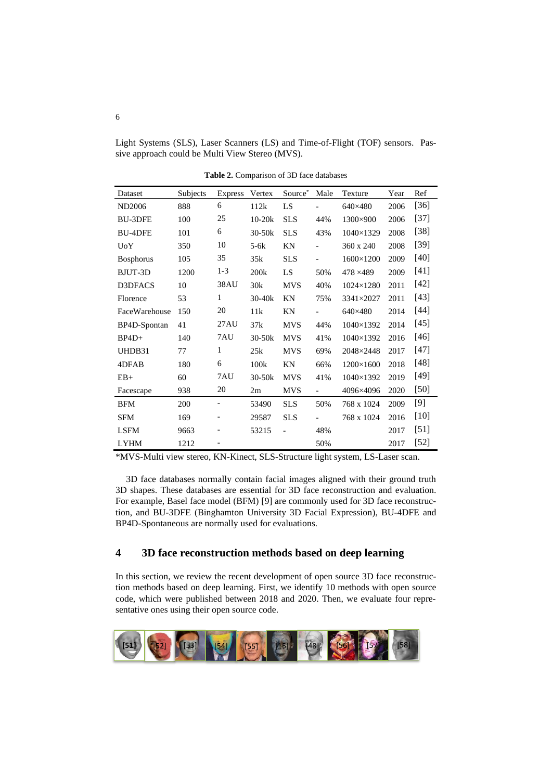Light Systems (SLS), Laser Scanners (LS) and Time-of-Flight (TOF) sensors. Passive approach could be Multi View Stereo (MVS).

| Dataset          | Subjects | <b>Express</b>    | Vertex     | Source*                      | Male                     | Texture          | Year | Ref    |
|------------------|----------|-------------------|------------|------------------------------|--------------------------|------------------|------|--------|
| <b>ND2006</b>    | 888      | 6                 | 112k       | LS                           |                          | 640×480          | 2006 | $[36]$ |
| <b>BU-3DFE</b>   | 100      | 25                | $10-20k$   | <b>SLS</b>                   | 44%                      | 1300×900         | 2006 | $[37]$ |
| <b>BU-4DFE</b>   | 101      | 6                 | $30 - 50k$ | <b>SLS</b>                   | 43%                      | $1040\times1329$ | 2008 | $[38]$ |
| <b>UoY</b>       | 350      | 10                | $5-6k$     | KN                           |                          | 360 x 240        | 2008 | $[39]$ |
| <b>Bosphorus</b> | 105      | 35                | 35k        | <b>SLS</b>                   |                          | $1600\times1200$ | 2009 | $[40]$ |
| BJUT-3D          | 1200     | $1 - 3$           | 200k       | LS                           | 50%                      | 478 × 489        | 2009 | $[41]$ |
| D3DFACS          | 10       | 38AU              | 30k        | <b>MVS</b>                   | 40%                      | $1024\times1280$ | 2011 | $[42]$ |
| Florence         | 53       | 1                 | $30 - 40k$ | KN                           | 75%                      | 3341×2027        | 2011 | $[43]$ |
| FaceWarehouse    | 150      | 20                | 11k        | KN                           |                          | 640×480          | 2014 | $[44]$ |
| BP4D-Spontan     | 41       | 27AU              | 37k        | <b>MVS</b>                   | 44%                      | 1040×1392        | 2014 | $[45]$ |
| $BP4D+$          | 140      | 7AU               | $30-50k$   | <b>MVS</b>                   | 41%                      | 1040×1392        | 2016 | $[46]$ |
| UHDB31           | 77       | $\mathbf{1}$      | 25k        | <b>MVS</b>                   | 69%                      | 2048×2448        | 2017 | $[47]$ |
| 4DFAB            | 180      | 6                 | 100k       | ΚN                           | 66%                      | $1200\times1600$ | 2018 | $[48]$ |
| $EB+$            | 60       | 7AU               | $30-50k$   | <b>MVS</b>                   | 41%                      | $1040\times1392$ | 2019 | $[49]$ |
| Facescape        | 938      | 20                | 2m         | <b>MVS</b>                   | $\overline{\phantom{0}}$ | 4096×4096        | 2020 | [50]   |
| <b>BFM</b>       | 200      | $\qquad \qquad -$ | 53490      | <b>SLS</b>                   | 50%                      | 768 x 1024       | 2009 | $[9]$  |
| SFM              | 169      | -                 | 29587      | <b>SLS</b>                   |                          | 768 x 1024       | 2016 | $[10]$ |
| <b>LSFM</b>      | 9663     |                   | 53215      | $\qquad \qquad \blacksquare$ | 48%                      |                  | 2017 | $[51]$ |
| <b>LYHM</b>      | 1212     |                   |            |                              | 50%                      |                  | 2017 | $[52]$ |

**Table 2.** Comparison of 3D face databases

\*MVS-Multi view stereo, KN-Kinect, SLS-Structure light system, LS-Laser scan.

3D face databases normally contain facial images aligned with their ground truth 3D shapes. These databases are essential for 3D face reconstruction and evaluation. For example, Basel face model (BFM) [\[9\]](#page-11-8) are commonly used for 3D face reconstruction, and BU-3DFE (Binghamton University 3D Facial Expression), BU-4DFE and BP4D-Spontaneous are normally used for evaluations.

## **4 3D face reconstruction methods based on deep learning**

In this section, we review the recent development of open source 3D face reconstruction methods based on deep learning. First, we identify 10 methods with open source code, which were published between 2018 and 2020. Then, we evaluate four representative ones using their open source code.

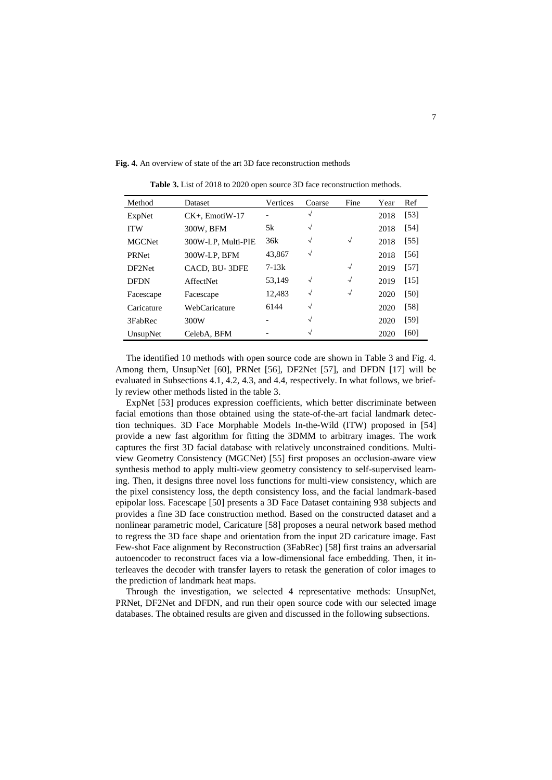**Fig. 4.** An overview of state of the art 3D face reconstruction methods

| Method        | <b>Dataset</b>     | Vertices  | Coarse     | Fine         | Year | Ref               |
|---------------|--------------------|-----------|------------|--------------|------|-------------------|
| ExpNet        | $CK+$ . EmotiW-17  |           | $\sqrt{}$  |              | 2018 | $\left[53\right]$ |
| <b>ITW</b>    | 300W, BFM          | 5k        | $\sqrt{ }$ |              | 2018 | [54]              |
| <b>MGCNet</b> | 300W-LP, Multi-PIE | 36k       | $\sqrt{ }$ | $\sqrt{ }$   | 2018 | [55]              |
| <b>PRNet</b>  | 300W-LP, BFM       | 43,867    | $\sqrt{ }$ |              | 2018 | [56]              |
| DF2Net        | CACD, BU-3DFE      | $7 - 13k$ |            | $\sqrt{ }$   | 2019 | [57]              |
| <b>DFDN</b>   | <b>AffectNet</b>   | 53.149    | $\sqrt{ }$ | $\checkmark$ | 2019 | [15]              |
| Facescape     | Facescape          | 12,483    | $\sqrt{}$  | $\checkmark$ | 2020 | [50]              |
| Caricature    | WebCaricature      | 6144      | $\sqrt{ }$ |              | 2020 | [58]              |
| 3FabRec       | 300W               |           | $\sqrt{}$  |              | 2020 | [59]              |
| UnsupNet      | CelebA, BFM        |           | $\sqrt{}$  |              | 2020 | [60]              |

**Table 3.** List of 2018 to 2020 open source 3D face reconstruction methods.

The identified 10 methods with open source code are shown in Table 3 and Fig. 4. Among them, UnsupNet [\[60\]](#page-14-6), PRNet [\[56\]](#page-14-2), DF2Net [\[57\]](#page-14-3), and DFDN [\[17\]](#page-12-19) will be evaluated in Subsections 4.1, 4.2, 4.3, and 4.4, respectively. In what follows, we briefly review other methods listed in the table 3.

ExpNet [\[53\]](#page-13-18) produces expression coefficients, which better discriminate between facial emotions than those obtained using the state-of-the-art facial landmark detection techniques. 3D Face Morphable Models In-the-Wild (ITW) proposed in [\[54\]](#page-14-0) provide a new fast algorithm for fitting the 3DMM to arbitrary images. The work captures the first 3D facial database with relatively unconstrained conditions. Multiview Geometry Consistency (MGCNet) [\[55\]](#page-14-1) first proposes an occlusion-aware view synthesis method to apply multi-view geometry consistency to self-supervised learning. Then, it designs three novel loss functions for multi-view consistency, which are the pixel consistency loss, the depth consistency loss, and the facial landmark-based epipolar loss. Facescape [\[50\]](#page-13-15) presents a 3D Face Dataset containing 938 subjects and provides a fine 3D face construction method. Based on the constructed dataset and a nonlinear parametric model, Caricature [\[58\]](#page-14-4) proposes a neural network based method to regress the 3D face shape and orientation from the input 2D caricature image. Fast Few-shot Face alignment by Reconstruction (3FabRec) [\[58\]](#page-14-4) first trains an adversarial autoencoder to reconstruct faces via a low-dimensional face embedding. Then, it interleaves the decoder with transfer layers to retask the generation of color images to the prediction of landmark heat maps.

Through the investigation, we selected 4 representative methods: UnsupNet, PRNet, DF2Net and DFDN, and run their open source code with our selected image databases. The obtained results are given and discussed in the following subsections.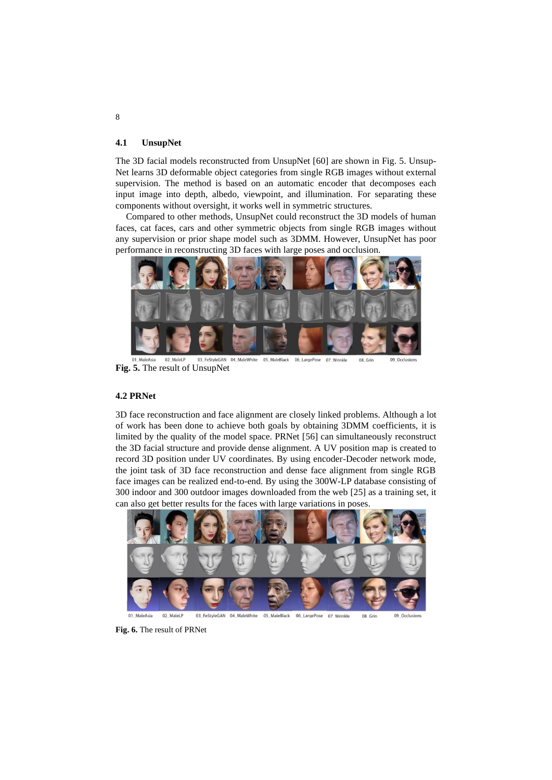#### **4.1 UnsupNet**

The 3D facial models reconstructed from UnsupNet [\[60\]](#page-14-6) are shown in Fig. 5. Unsup-Net learns 3D deformable object categories from single RGB images without external supervision. The method is based on an automatic encoder that decomposes each input image into depth, albedo, viewpoint, and illumination. For separating these components without oversight, it works well in symmetric structures.

Compared to other methods, UnsupNet could reconstruct the 3D models of human faces, cat faces, cars and other symmetric objects from single RGB images without any supervision or prior shape model such as 3DMM. However, UnsupNet has poor performance in reconstructing 3D faces with large poses and occlusion.



03\_FeStyleGAN 04\_MaleWhite 05\_MaleBlack MaleAsia 02\_MaleLP 06\_LargePose 07\_Wrinkle 08\_Grin 09\_Occlusion: **Fig. 5.** The result of UnsupNet

### **4.2 PRNet**

3D face reconstruction and face alignment are closely linked problems. Although a lot of work has been done to achieve both goals by obtaining 3DMM coefficients, it is limited by the quality of the model space. PRNet [\[56\]](#page-14-2) can simultaneously reconstruct the 3D facial structure and provide dense alignment. A UV position map is created to record 3D position under UV coordinates. By using encoder-Decoder network mode, the joint task of 3D face reconstruction and dense face alignment from single RGB face images can be realized end-to-end. By using the 300W-LP database consisting of 300 indoor and 300 outdoor images downloaded from the web [\[25\]](#page-12-9) as a training set, it can also get better results for the faces with large variations in poses.



06\_LargePose 02 MaleLP 03 FeStyleGAN 04 MaleWhite 05\_MaleBlack

**Fig. 6.** The result of PRNet

8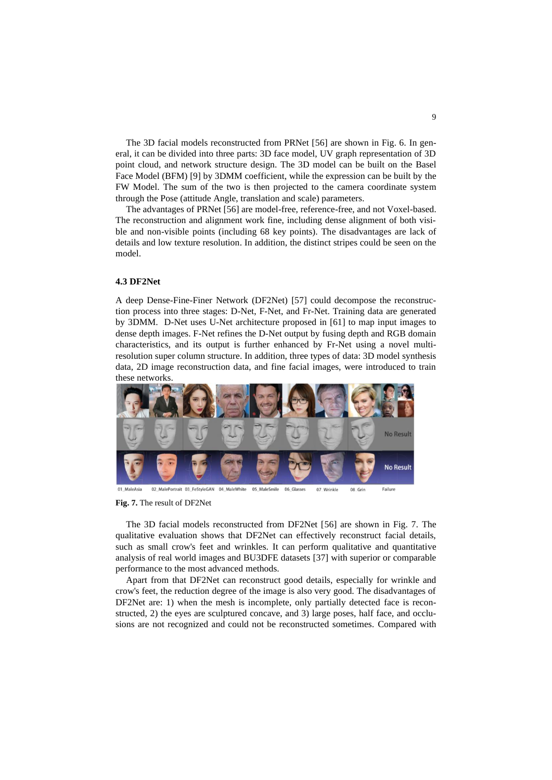The 3D facial models reconstructed from PRNet [\[56\]](#page-14-2) are shown in Fig. 6. In general, it can be divided into three parts: 3D face model, UV graph representation of 3D point cloud, and network structure design. The 3D model can be built on the Basel Face Model (BFM) [\[9\]](#page-11-8) by 3DMM coefficient, while the expression can be built by the FW Model. The sum of the two is then projected to the camera coordinate system through the Pose (attitude Angle, translation and scale) parameters.

The advantages of PRNet [\[56\]](#page-14-2) are model-free, reference-free, and not Voxel-based. The reconstruction and alignment work fine, including dense alignment of both visible and non-visible points (including 68 key points). The disadvantages are lack of details and low texture resolution. In addition, the distinct stripes could be seen on the model.

### **4.3 DF2Net**

A deep Dense-Fine-Finer Network (DF2Net) [\[57\]](#page-14-3) could decompose the reconstruction process into three stages: D-Net, F-Net, and Fr-Net. Training data are generated by 3DMM. D-Net uses U-Net architecture proposed in [\[61\]](#page-14-7) to map input images to dense depth images. F-Net refines the D-Net output by fusing depth and RGB domain characteristics, and its output is further enhanced by Fr-Net using a novel multiresolution super column structure. In addition, three types of data: 3D model synthesis data, 2D image reconstruction data, and fine facial images, were introduced to train these networks.



02 MalePortrait 03 FeStyleGAN 04 MaleWhite 05 MaleSmile 06 Glasses Failure 07 Wrinkle 08 Grin

#### **Fig. 7.** The result of DF2Net

The 3D facial models reconstructed from DF2Net [\[56\]](#page-14-2) are shown in Fig. 7. The qualitative evaluation shows that DF2Net can effectively reconstruct facial details, such as small crow's feet and wrinkles. It can perform qualitative and quantitative analysis of real world images and BU3DFE datasets [\[37\]](#page-13-2) with superior or comparable performance to the most advanced methods.

Apart from that DF2Net can reconstruct good details, especially for wrinkle and crow's feet, the reduction degree of the image is also very good. The disadvantages of DF2Net are: 1) when the mesh is incomplete, only partially detected face is reconstructed, 2) the eyes are sculptured concave, and 3) large poses, half face, and occlusions are not recognized and could not be reconstructed sometimes. Compared with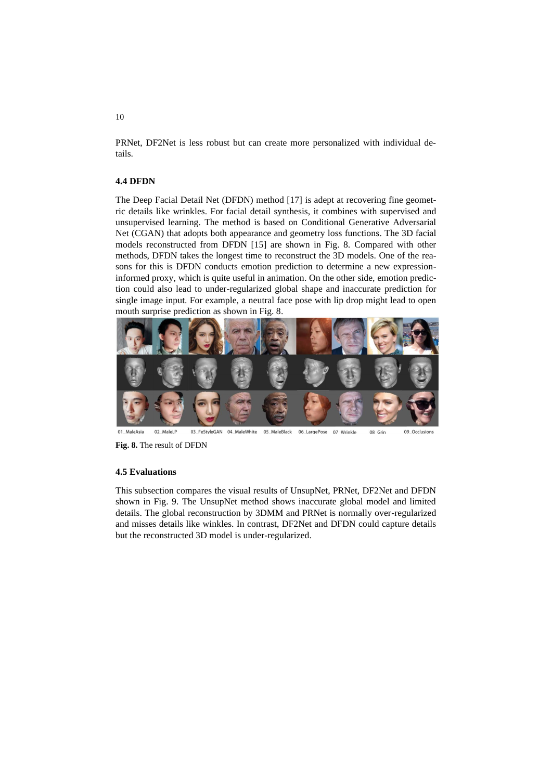PRNet, DF2Net is less robust but can create more personalized with individual details.

#### **4.4 DFDN**

The Deep Facial Detail Net (DFDN) method [\[17\]](#page-12-19) is adept at recovering fine geometric details like wrinkles. For facial detail synthesis, it combines with supervised and unsupervised learning. The method is based on Conditional Generative Adversarial Net (CGAN) that adopts both appearance and geometry loss functions. The 3D facial models reconstructed from DFDN [15] are shown in Fig. 8. Compared with other methods, DFDN takes the longest time to reconstruct the 3D models. One of the reasons for this is DFDN conducts emotion prediction to determine a new expressioninformed proxy, which is quite useful in animation. On the other side, emotion prediction could also lead to under-regularized global shape and inaccurate prediction for single image input. For example, a neutral face pose with lip drop might lead to open mouth surprise prediction as shown in Fig. 8.



02\_MaleLP 03\_FeStyleGAN 04\_MaleWhite 05\_MaleBlack 06\_LargePose 07 Wrinkle 08 Grin 09 Occlusions 01 MaleAsia

**Fig. 8.** The result of DFDN

#### **4.5 Evaluations**

This subsection compares the visual results of UnsupNet, PRNet, DF2Net and DFDN shown in Fig. 9. The UnsupNet method shows inaccurate global model and limited details. The global reconstruction by 3DMM and PRNet is normally over-regularized and misses details like winkles. In contrast, DF2Net and DFDN could capture details but the reconstructed 3D model is under-regularized.

10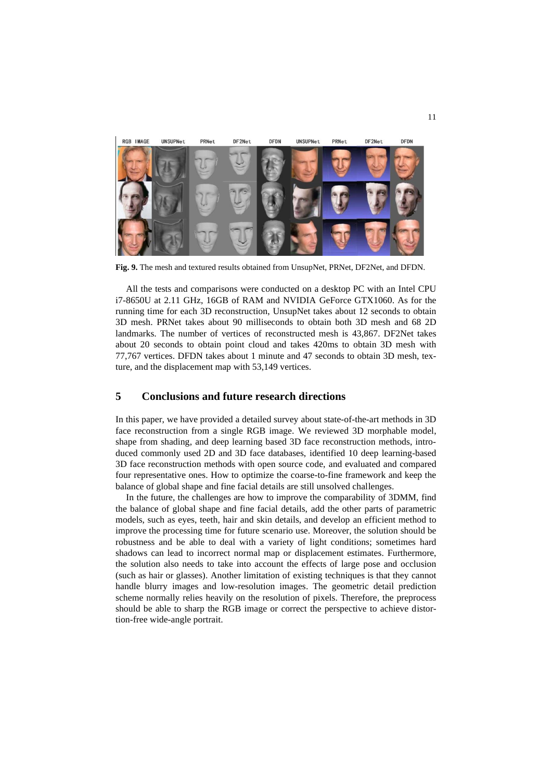

**Fig. 9.** The mesh and textured results obtained from UnsupNet, PRNet, DF2Net, and DFDN.

All the tests and comparisons were conducted on a desktop PC with an Intel CPU i7-8650U at 2.11 GHz, 16GB of RAM and NVIDIA GeForce GTX1060. As for the running time for each 3D reconstruction, UnsupNet takes about 12 seconds to obtain 3D mesh. PRNet takes about 90 milliseconds to obtain both 3D mesh and 68 2D landmarks. The number of vertices of reconstructed mesh is 43,867. DF2Net takes about 20 seconds to obtain point cloud and takes 420ms to obtain 3D mesh with 77,767 vertices. DFDN takes about 1 minute and 47 seconds to obtain 3D mesh, texture, and the displacement map with 53,149 vertices.

### **5 Conclusions and future research directions**

In this paper, we have provided a detailed survey about state-of-the-art methods in 3D face reconstruction from a single RGB image. We reviewed 3D morphable model, shape from shading, and deep learning based 3D face reconstruction methods, introduced commonly used 2D and 3D face databases, identified 10 deep learning-based 3D face reconstruction methods with open source code, and evaluated and compared four representative ones. How to optimize the coarse-to-fine framework and keep the balance of global shape and fine facial details are still unsolved challenges.

In the future, the challenges are how to improve the comparability of 3DMM, find the balance of global shape and fine facial details, add the other parts of parametric models, such as eyes, teeth, hair and skin details, and develop an efficient method to improve the processing time for future scenario use. Moreover, the solution should be robustness and be able to deal with a variety of light conditions; sometimes hard shadows can lead to incorrect normal map or displacement estimates. Furthermore, the solution also needs to take into account the effects of large pose and occlusion (such as hair or glasses). Another limitation of existing techniques is that they cannot handle blurry images and low-resolution images. The geometric detail prediction scheme normally relies heavily on the resolution of pixels. Therefore, the preprocess should be able to sharp the RGB image or correct the perspective to achieve distortion-free wide-angle portrait.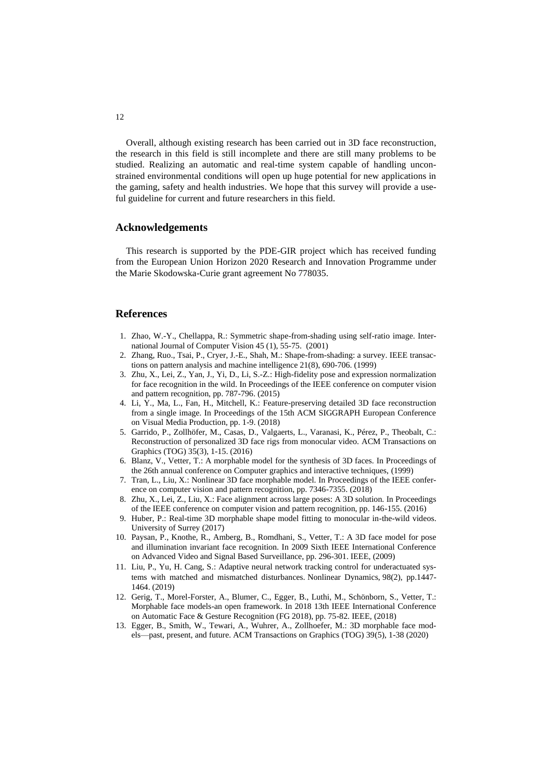Overall, although existing research has been carried out in 3D face reconstruction, the research in this field is still incomplete and there are still many problems to be studied. Realizing an automatic and real-time system capable of handling unconstrained environmental conditions will open up huge potential for new applications in the gaming, safety and health industries. We hope that this survey will provide a useful guideline for current and future researchers in this field.

### **Acknowledgements**

This research is supported by the PDE-GIR project which has received funding from the European Union Horizon 2020 Research and Innovation Programme under the Marie Skodowska-Curie grant agreement No 778035.

### **References**

- <span id="page-11-0"></span>1. Zhao, W.-Y., Chellappa, R.: Symmetric shape-from-shading using self-ratio image. International Journal of Computer Vision 45 (1), 55-75. (2001)
- <span id="page-11-1"></span>2. Zhang, Ruo., Tsai, P., Cryer, J.-E., Shah, M.: Shape-from-shading: a survey. IEEE transactions on pattern analysis and machine intelligence 21(8), 690-706. (1999)
- <span id="page-11-2"></span>3. Zhu, X., Lei, Z., Yan, J., Yi, D., Li, S.-Z.: High-fidelity pose and expression normalization for face recognition in the wild. In Proceedings of the IEEE conference on computer vision and pattern recognition, pp. 787-796. (2015)
- <span id="page-11-3"></span>4. Li, Y., Ma, L., Fan, H., Mitchell, K.: Feature-preserving detailed 3D face reconstruction from a single image. In Proceedings of the 15th ACM SIGGRAPH European Conference on Visual Media Production, pp. 1-9. (2018)
- <span id="page-11-4"></span>5. Garrido, P., Zollhöfer, M., Casas, D., Valgaerts, L., Varanasi, K., Pérez, P., Theobalt, C.: Reconstruction of personalized 3D face rigs from monocular video. ACM Transactions on Graphics (TOG) 35(3), 1-15. (2016)
- <span id="page-11-5"></span>6. Blanz, V., Vetter, T.: A morphable model for the synthesis of 3D faces. In Proceedings of the 26th annual conference on Computer graphics and interactive techniques, (1999)
- <span id="page-11-6"></span>7. Tran, L., Liu, X.: Nonlinear 3D face morphable model. In Proceedings of the IEEE conference on computer vision and pattern recognition, pp. 7346-7355. (2018)
- <span id="page-11-7"></span>8. Zhu, X., Lei, Z., Liu, X.: Face alignment across large poses: A 3D solution. In Proceedings of the IEEE conference on computer vision and pattern recognition, pp. 146-155. (2016)
- <span id="page-11-8"></span>9. Huber, P.: Real-time 3D morphable shape model fitting to monocular in-the-wild videos. University of Surrey (2017)
- <span id="page-11-9"></span>10. Paysan, P., Knothe, R., Amberg, B., Romdhani, S., Vetter, T.: A 3D face model for pose and illumination invariant face recognition. In 2009 Sixth IEEE International Conference on Advanced Video and Signal Based Surveillance, pp. 296-301. IEEE, (2009)
- 11. Liu, P., Yu, H. Cang, S.: Adaptive neural network tracking control for underactuated systems with matched and mismatched disturbances. Nonlinear Dynamics, 98(2), pp.1447- 1464. (2019)
- <span id="page-11-10"></span>12. Gerig, T., Morel-Forster, A., Blumer, C., Egger, B., Luthi, M., Schönborn, S., Vetter, T.: Morphable face models-an open framework. In 2018 13th IEEE International Conference on Automatic Face & Gesture Recognition (FG 2018), pp. 75-82. IEEE, (2018)
- <span id="page-11-11"></span>13. Egger, B., Smith, W., Tewari, A., Wuhrer, A., Zollhoefer, M.: 3D morphable face models—past, present, and future. ACM Transactions on Graphics (TOG) 39(5), 1-38 (2020)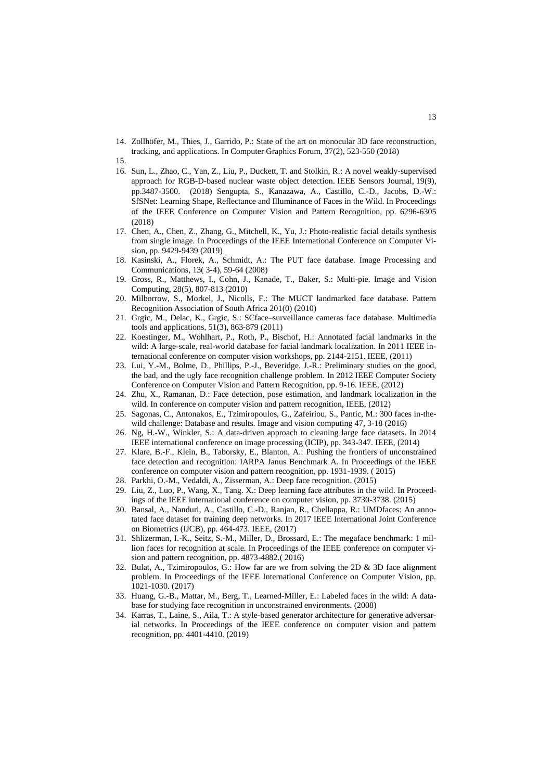- <span id="page-12-1"></span>14. Zollhöfer, M., Thies, J., Garrido, P.: State of the art on monocular 3D face reconstruction, tracking, and applications. In Computer Graphics Forum, 37(2), 523-550 (2018)
- 15.
- <span id="page-12-0"></span>16. Sun, L., Zhao, C., Yan, Z., Liu, P., Duckett, T. and Stolkin, R.: A novel weakly-supervised approach for RGB-D-based nuclear waste object detection. IEEE Sensors Journal, 19(9), pp.3487-3500. (2018) Sengupta, S., Kanazawa, A., Castillo, C.-D., Jacobs, D.-W.: SfSNet: Learning Shape, Reflectance and Illuminance of Faces in the Wild. In Proceedings of the IEEE Conference on Computer Vision and Pattern Recognition, pp. 6296-6305 (2018)
- <span id="page-12-19"></span>17. Chen, A., Chen, Z., Zhang, G., Mitchell, K., Yu, J.: Photo-realistic facial details synthesis from single image. In Proceedings of the IEEE International Conference on Computer Vision, pp. 9429-9439 (2019)
- <span id="page-12-2"></span>18. Kasinski, A., Florek, A., Schmidt, A.: The PUT face database. Image Processing and Communications, 13( 3-4), 59-64 (2008)
- <span id="page-12-3"></span>19. Gross, R., Matthews, I., Cohn, J., Kanade, T., Baker, S.: Multi-pie. Image and Vision Computing, 28(5), 807-813 (2010)
- <span id="page-12-4"></span>20. Milborrow, S., Morkel, J., Nicolls, F.: The MUCT landmarked face database. Pattern Recognition Association of South Africa 201(0) (2010)
- <span id="page-12-5"></span>21. Grgic, M., Delac, K., Grgic, S.: SCface–surveillance cameras face database. Multimedia tools and applications, 51(3), 863-879 (2011)
- <span id="page-12-6"></span>22. Koestinger, M., Wohlhart, P., Roth, P., Bischof, H.: Annotated facial landmarks in the wild: A large-scale, real-world database for facial landmark localization. In 2011 IEEE international conference on computer vision workshops, pp. 2144-2151. IEEE, (2011)
- <span id="page-12-7"></span>23. Lui, Y.-M., Bolme, D., Phillips, P.-J., Beveridge, J.-R.: Preliminary studies on the good, the bad, and the ugly face recognition challenge problem. In 2012 IEEE Computer Society Conference on Computer Vision and Pattern Recognition, pp. 9-16. IEEE, (2012)
- <span id="page-12-8"></span>24. Zhu, X., Ramanan, D.: Face detection, pose estimation, and landmark localization in the wild. In conference on computer vision and pattern recognition, IEEE, (2012)
- <span id="page-12-9"></span>25. Sagonas, C., Antonakos, E., Tzimiropoulos, G., Zafeiriou, S., Pantic, M.: 300 faces in-thewild challenge: Database and results. Image and vision computing 47, 3-18 (2016)
- <span id="page-12-10"></span>26. Ng, H.-W., Winkler, S.: A data-driven approach to cleaning large face datasets. In 2014 IEEE international conference on image processing (ICIP), pp. 343-347. IEEE, (2014)
- <span id="page-12-11"></span>27. Klare, B.-F., Klein, B., Taborsky, E., Blanton, A.: Pushing the frontiers of unconstrained face detection and recognition: IARPA Janus Benchmark A. In Proceedings of the IEEE conference on computer vision and pattern recognition, pp. 1931-1939. ( 2015)
- <span id="page-12-12"></span>28. Parkhi, O.-M., Vedaldi, A., Zisserman, A.: Deep face recognition. (2015)
- <span id="page-12-13"></span>29. Liu, Z., Luo, P., Wang, X., Tang. X.: Deep learning face attributes in the wild. In Proceedings of the IEEE international conference on computer vision, pp. 3730-3738. (2015)
- <span id="page-12-14"></span>30. Bansal, A., Nanduri, A., Castillo, C.-D., Ranjan, R., Chellappa, R.: UMDfaces: An annotated face dataset for training deep networks. In 2017 IEEE International Joint Conference on Biometrics (IJCB), pp. 464-473. IEEE, (2017)
- <span id="page-12-15"></span>31. Shlizerman, I.-K., Seitz, S.-M., Miller, D., Brossard, E.: The megaface benchmark: 1 million faces for recognition at scale. In Proceedings of the IEEE conference on computer vision and pattern recognition, pp. 4873-4882.( 2016)
- <span id="page-12-16"></span>32. Bulat, A., Tzimiropoulos, G.: How far are we from solving the 2D & 3D face alignment problem. In Proceedings of the IEEE International Conference on Computer Vision, pp. 1021-1030. (2017)
- <span id="page-12-17"></span>33. Huang, G.-B., Mattar, M., Berg, T., Learned-Miller, E.: Labeled faces in the wild: A database for studying face recognition in unconstrained environments. (2008)
- <span id="page-12-18"></span>34. Karras, T., Laine, S., Aila, T.: A style-based generator architecture for generative adversarial networks. In Proceedings of the IEEE conference on computer vision and pattern recognition, pp. 4401-4410. (2019)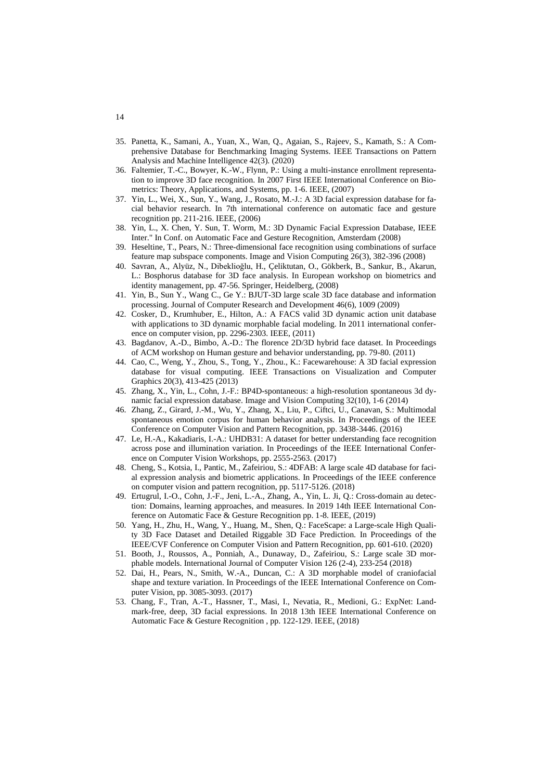- <span id="page-13-0"></span>35. Panetta, K., Samani, A., Yuan, X., Wan, Q., Agaian, S., Rajeev, S., Kamath, S.: A Comprehensive Database for Benchmarking Imaging Systems. IEEE Transactions on Pattern Analysis and Machine Intelligence 42(3). (2020)
- <span id="page-13-1"></span>36. Faltemier, T.-C., Bowyer, K.-W., Flynn, P.: Using a multi-instance enrollment representation to improve 3D face recognition. In 2007 First IEEE International Conference on Biometrics: Theory, Applications, and Systems, pp. 1-6. IEEE, (2007)
- <span id="page-13-2"></span>37. Yin, L., Wei, X., Sun, Y., Wang, J., Rosato, M.-J.: A 3D facial expression database for facial behavior research. In 7th international conference on automatic face and gesture recognition pp. 211-216. IEEE, (2006)
- <span id="page-13-3"></span>38. Yin, L., X. Chen, Y. Sun, T. Worm, M.: 3D Dynamic Facial Expression Database, IEEE Inter." In Conf. on Automatic Face and Gesture Recognition, Amsterdam (2008)
- <span id="page-13-4"></span>39. Heseltine, T., Pears, N.: Three-dimensional face recognition using combinations of surface feature map subspace components. Image and Vision Computing 26(3), 382-396 (2008)
- <span id="page-13-5"></span>40. Savran, A., Alyüz, N., Dibeklioğlu, H., Çeliktutan, O., Gökberk, B., Sankur, B., Akarun, L.: Bosphorus database for 3D face analysis. In European workshop on biometrics and identity management, pp. 47-56. Springer, Heidelberg, (2008)
- <span id="page-13-6"></span>41. Yin, B., Sun Y., Wang C., Ge Y.: BJUT-3D large scale 3D face database and information processing. Journal of Computer Research and Development 46(6), 1009 (2009)
- <span id="page-13-7"></span>42. Cosker, D., Krumhuber, E., Hilton, A.: A FACS valid 3D dynamic action unit database with applications to 3D dynamic morphable facial modeling. In 2011 international conference on computer vision, pp. 2296-2303. IEEE, (2011)
- <span id="page-13-8"></span>43. Bagdanov, A.-D., Bimbo, A.-D.: The florence 2D/3D hybrid face dataset. In Proceedings of ACM workshop on Human gesture and behavior understanding, pp. 79-80. (2011)
- <span id="page-13-9"></span>44. Cao, C., Weng, Y., Zhou, S., Tong, Y., Zhou., K.: Facewarehouse: A 3D facial expression database for visual computing. IEEE Transactions on Visualization and Computer Graphics 20(3), 413-425 (2013)
- <span id="page-13-10"></span>45. Zhang, X., Yin, L., Cohn, J.-F.: BP4D-spontaneous: a high-resolution spontaneous 3d dynamic facial expression database. Image and Vision Computing 32(10), 1-6 (2014)
- <span id="page-13-11"></span>46. Zhang, Z., Girard, J.-M., Wu, Y., Zhang, X., Liu, P., Ciftci, U., Canavan, S.: Multimodal spontaneous emotion corpus for human behavior analysis. In Proceedings of the IEEE Conference on Computer Vision and Pattern Recognition, pp. 3438-3446. (2016)
- <span id="page-13-12"></span>47. Le, H.-A., Kakadiaris, I.-A.: UHDB31: A dataset for better understanding face recognition across pose and illumination variation. In Proceedings of the IEEE International Conference on Computer Vision Workshops, pp. 2555-2563. (2017)
- <span id="page-13-13"></span>48. Cheng, S., Kotsia, I., Pantic, M., Zafeiriou, S.: 4DFAB: A large scale 4D database for facial expression analysis and biometric applications. In Proceedings of the IEEE conference on computer vision and pattern recognition, pp. 5117-5126. (2018)
- <span id="page-13-14"></span>49. Ertugrul, I.-O., Cohn, J.-F., Jeni, L.-A., Zhang, A., Yin, L. Ji, Q.: Cross-domain au detection: Domains, learning approaches, and measures. In 2019 14th IEEE International Conference on Automatic Face & Gesture Recognition pp. 1-8. IEEE, (2019)
- <span id="page-13-15"></span>50. Yang, H., Zhu, H., Wang, Y., Huang, M., Shen, Q.: FaceScape: a Large-scale High Quality 3D Face Dataset and Detailed Riggable 3D Face Prediction. In Proceedings of the IEEE/CVF Conference on Computer Vision and Pattern Recognition, pp. 601-610. (2020)
- <span id="page-13-16"></span>51. Booth, J., Roussos, A., Ponniah, A., Dunaway, D., Zafeiriou, S.: Large scale 3D morphable models. International Journal of Computer Vision 126 (2-4), 233-254 (2018)
- <span id="page-13-17"></span>52. Dai, H., Pears, N., Smith, W.-A., Duncan, C.: A 3D morphable model of craniofacial shape and texture variation. In Proceedings of the IEEE International Conference on Computer Vision, pp. 3085-3093. (2017)
- <span id="page-13-18"></span>53. Chang, F., Tran, A.-T., Hassner, T., Masi, I., Nevatia, R., Medioni, G.: ExpNet: Landmark-free, deep, 3D facial expressions. In 2018 13th IEEE International Conference on Automatic Face & Gesture Recognition , pp. 122-129. IEEE, (2018)